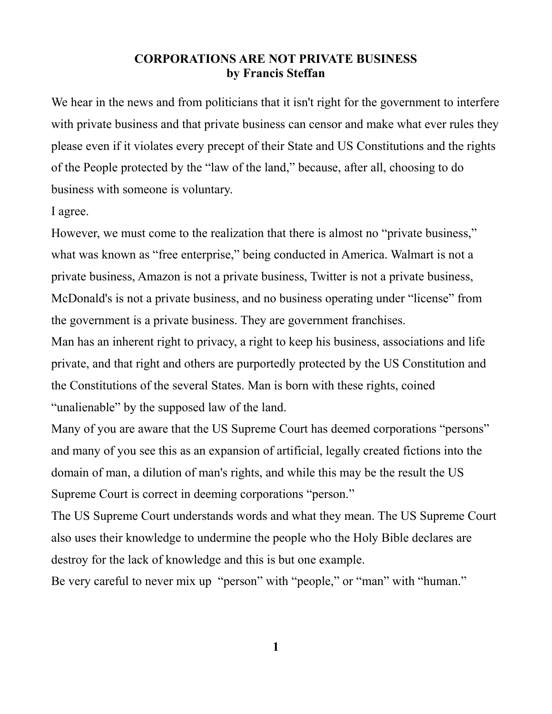## **CORPORATIONS ARE NOT PRIVATE BUSINESS by Francis Steffan**

We hear in the news and from politicians that it isn't right for the government to interfere with private business and that private business can censor and make what ever rules they please even if it violates every precept of their State and US Constitutions and the rights of the People protected by the "law of the land," because, after all, choosing to do business with someone is voluntary.

I agree.

However, we must come to the realization that there is almost no "private business," what was known as "free enterprise," being conducted in America. Walmart is not a private business, Amazon is not a private business, Twitter is not a private business, McDonald's is not a private business, and no business operating under "license" from the government is a private business. They are government franchises.

Man has an inherent right to privacy, a right to keep his business, associations and life private, and that right and others are purportedly protected by the US Constitution and the Constitutions of the several States. Man is born with these rights, coined "unalienable" by the supposed law of the land.

Many of you are aware that the US Supreme Court has deemed corporations "persons" and many of you see this as an expansion of artificial, legally created fictions into the domain of man, a dilution of man's rights, and while this may be the result the US Supreme Court is correct in deeming corporations "person."

The US Supreme Court understands words and what they mean. The US Supreme Court also uses their knowledge to undermine the people who the Holy Bible declares are destroy for the lack of knowledge and this is but one example.

Be very careful to never mix up "person" with "people," or "man" with "human."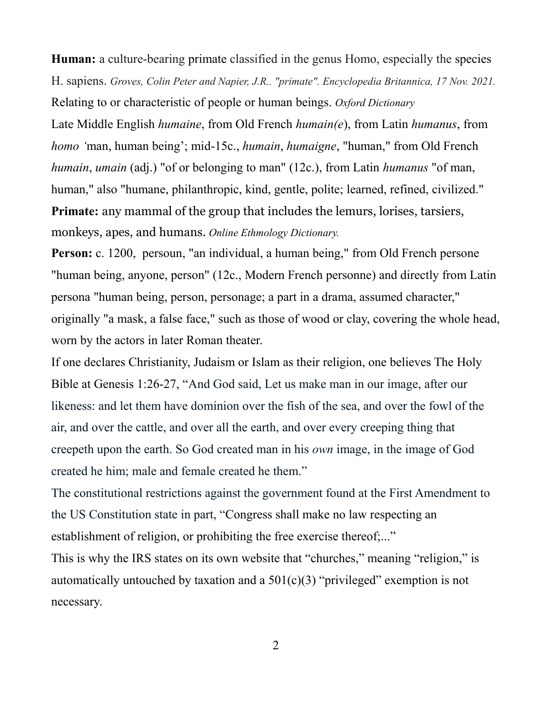**Human:** a culture-bearing primate classified in the genus Homo, especially the species H. sapiens. *Groves, Colin Peter and Napier, J.R.. "primate". Encyclopedia Britannica, 17 Nov. 2021.* Relating to or characteristic of people or human beings. *Oxford Dictionary*

Late Middle English *humaine*, from Old French *humain(e*), from Latin *humanus*, from *homo '*man, human being'; mid-15c., *humain*, *humaigne*, "human," from Old French *humain*, *umain* (adj.) "of or belonging to man" (12c.), from Latin *humanus* "of man, human," also "humane, philanthropic, kind, gentle, polite; learned, refined, civilized." **Primate:** any mammal of the group that includes the lemurs, lorises, tarsiers, monkeys, apes, and humans. *Online Ethmology Dictionary.*

**Person:** c. 1200, persoun, "an individual, a human being," from Old French persone "human being, anyone, person" (12c., Modern French personne) and directly from Latin persona "human being, person, personage; a part in a drama, assumed character," originally "a mask, a false face," such as those of wood or clay, covering the whole head, worn by the actors in later Roman theater.

If one declares Christianity, Judaism or Islam as their religion, one believes The Holy Bible at Genesis 1:26-27, "And God said, Let us make man in our image, after our likeness: and let them have dominion over the fish of the sea, and over the fowl of the air, and over the cattle, and over all the earth, and over every creeping thing that creepeth upon the earth. So God created man in his *own* image, in the image of God created he him; male and female created he them."

The constitutional restrictions against the government found at the First Amendment to the US Constitution state in part, "Congress shall make no law respecting an establishment of religion, or prohibiting the free exercise thereof...."

This is why the IRS states on its own website that "churches," meaning "religion," is automatically untouched by taxation and a  $501(c)(3)$  "privileged" exemption is not necessary.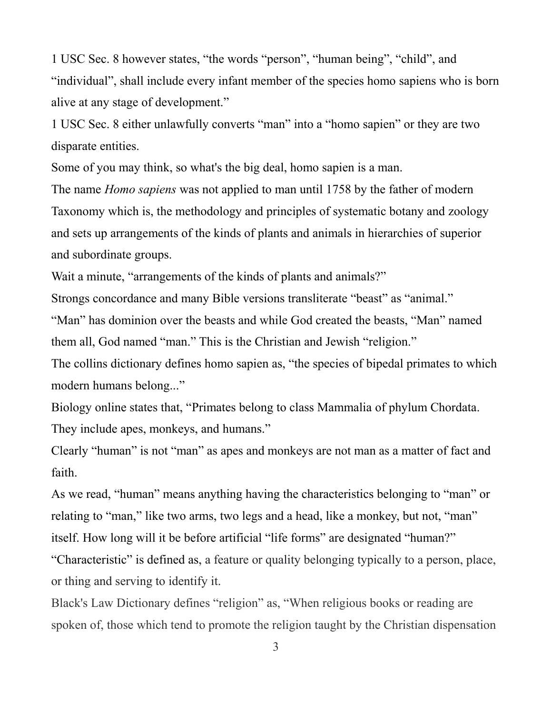1 USC Sec. 8 however states, "the words ["person",](https://www.law.cornell.edu/definitions/uscode.php?width=840&height=800&iframe=true&def_id=1-USC-991716523-956340326&term_occur=999&term_src=title:1:chapter:1:section:8) ["human being",](https://www.law.cornell.edu/definitions/uscode.php?width=840&height=800&iframe=true&def_id=1-USC-1760845812-956340326&term_occur=999&term_src=title:1:chapter:1:section:8) ["child",](https://www.law.cornell.edu/definitions/uscode.php?width=840&height=800&iframe=true&def_id=1-USC-94631196-956340326&term_occur=999&term_src=title:1:chapter:1:section:8) and ["individual",](https://www.law.cornell.edu/definitions/uscode.php?width=840&height=800&iframe=true&def_id=1-USC-46292327-956340326&term_occur=999&term_src=title:1:chapter:1:section:8) shall include every infant member of the species homo sapiens who is [born](https://www.law.cornell.edu/definitions/uscode.php?width=840&height=800&iframe=true&def_id=1-USC-119639350-956340327&term_occur=999&term_src=title:1:chapter:1:section:8) [alive](https://www.law.cornell.edu/definitions/uscode.php?width=840&height=800&iframe=true&def_id=1-USC-119639350-956340327&term_occur=999&term_src=title:1:chapter:1:section:8) at any stage of development."

1 USC Sec. 8 either unlawfully converts "man" into a "homo sapien" or they are two disparate entities.

Some of you may think, so what's the big deal, homo sapien is a man.

The name *Homo sapiens* was not applied to man until 1758 by the father of modern Taxonomy which is, the methodology and principles of systematic botany and zoology and sets up arrangements of the kinds of plants and animals in hierarchies of superior and subordinate groups.

Wait a minute, "arrangements of the kinds of plants and animals?"

Strongs concordance and many Bible versions transliterate "beast" as "animal."

"Man" has dominion over the beasts and while God created the beasts, "Man" named them all, God named "man." This is the Christian and Jewish "religion."

The collins dictionary defines homo sapien as, "the species of bipedal primates to which modern humans belong..."

Biology online states that, "Primates belong to class Mammalia of phylum Chordata. They include apes, monkeys, and humans."

Clearly "human" is not "man" as apes and monkeys are not man as a matter of fact and faith.

As we read, "human" means anything having the characteristics belonging to "man" or relating to "man," like two arms, two legs and a head, like a monkey, but not, "man" itself. How long will it be before artificial "life forms" are designated "human?" "Characteristic" is defined as, a feature or quality belonging typically to a person, place, or thing and serving to identify it.

Black's Law Dictionary defines "religion" as, "When religious books or reading are spoken of, those which tend to promote the religion taught by the Christian dispensation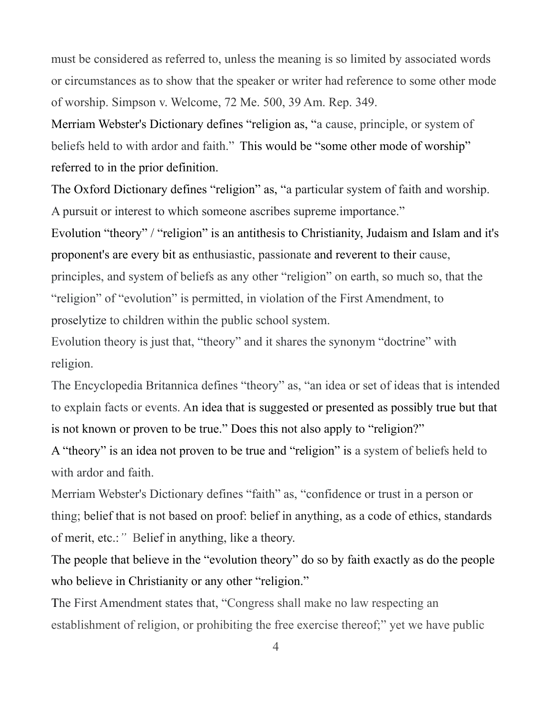must be considered as referred to, unless the meaning is so limited by associated words or circumstances as to show that the speaker or writer had reference to some other mode of worship. Simpson v. Welcome, 72 Me. 500, 39 Am. Rep. 349.

Merriam Webster's Dictionary defines "religion as, "a cause, principle, or system of beliefs held to with ardor and faith." This would be "some other mode of worship" referred to in the prior definition.

The Oxford Dictionary defines "religion" as, "a particular system of faith and worship. A pursuit or interest to which someone ascribes supreme importance."

Evolution "theory" / "religion" is an antithesis to Christianity, Judaism and Islam and it's proponent's are every bit as enthusiastic, passionate and reverent to their cause, principles, and system of beliefs as any other "religion" on earth, so much so, that the "religion" of "evolution" is permitted, in violation of the First Amendment, to proselytize to children within the public school system.

Evolution theory is just that, "theory" and it shares the synonym "doctrine" with religion.

The Encyclopedia Britannica defines "theory" as, "an idea or set of ideas that is intended to explain facts or events. An idea that is suggested or presented as possibly true but that is not known or proven to be true." Does this not also apply to "religion?"

A "theory" is an idea not proven to be true and "religion" is a system of beliefs held to with ardor and faith.

Merriam Webster's Dictionary defines "faith" as, "confidence or trust in a person or thing; belief that is not based on proof: belief in anything, as a code of ethics, standards of merit, etc.:*"* Belief in anything, like a theory.

The people that believe in the "evolution theory" do so by faith exactly as do the people who believe in Christianity or any other "religion."

The First Amendment states that, "Congress shall make no law respecting an establishment of religion, or prohibiting the free exercise thereof;" yet we have public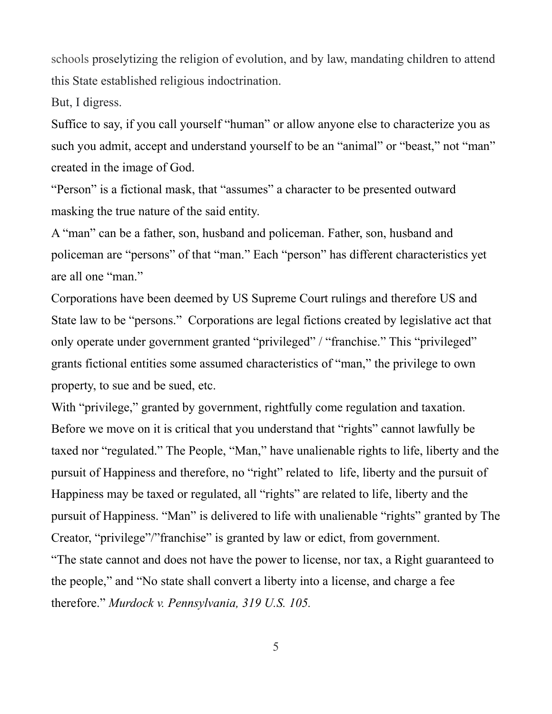schools proselytizing the religion of evolution, and by law, mandating children to attend this State established religious indoctrination.

But, I digress.

Suffice to say, if you call yourself "human" or allow anyone else to characterize you as such you admit, accept and understand yourself to be an "animal" or "beast," not "man" created in the image of God.

"Person" is a fictional mask, that "assumes" a character to be presented outward masking the true nature of the said entity.

A "man" can be a father, son, husband and policeman. Father, son, husband and policeman are "persons" of that "man." Each "person" has different characteristics yet are all one "man."

Corporations have been deemed by US Supreme Court rulings and therefore US and State law to be "persons." Corporations are legal fictions created by legislative act that only operate under government granted "privileged" / "franchise." This "privileged" grants fictional entities some assumed characteristics of "man," the privilege to own property, to sue and be sued, etc.

With "privilege," granted by government, rightfully come regulation and taxation. Before we move on it is critical that you understand that "rights" cannot lawfully be taxed nor "regulated." The People, "Man," have unalienable rights to life, liberty and the pursuit of Happiness and therefore, no "right" related to life, liberty and the pursuit of Happiness may be taxed or regulated, all "rights" are related to life, liberty and the pursuit of Happiness. "Man" is delivered to life with unalienable "rights" granted by The Creator, "privilege"/"franchise" is granted by law or edict, from government. "The state cannot and does not have the power to license, nor tax, a Right guaranteed to the people," and "No state shall convert a liberty into a license, and charge a fee therefore." *Murdock v. Pennsylvania, 319 U.S. 105.*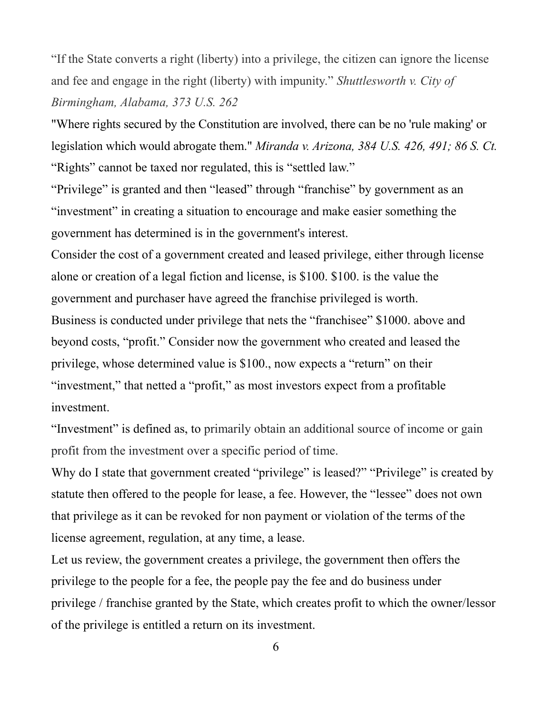"If the State converts a right (liberty) into a privilege, the citizen can ignore the license and fee and engage in the right (liberty) with impunity." *Shuttlesworth v. City of Birmingham, Alabama, 373 U.S. 262*

"Where rights secured by the Constitution are involved, there can be no 'rule making' or legislation which would abrogate them." *Miranda v. Arizona, 384 U.S. 426, 491; 86 S. Ct.* "Rights" cannot be taxed nor regulated, this is "settled law."

"Privilege" is granted and then "leased" through "franchise" by government as an "investment" in creating a situation to encourage and make easier something the government has determined is in the government's interest.

Consider the cost of a government created and leased privilege, either through license alone or creation of a legal fiction and license, is \$100. \$100. is the value the government and purchaser have agreed the franchise privileged is worth.

Business is conducted under privilege that nets the "franchisee" \$1000. above and beyond costs, "profit." Consider now the government who created and leased the privilege, whose determined value is \$100., now expects a "return" on their "investment," that netted a "profit," as most investors expect from a profitable investment.

"Investment" is defined as, to primarily obtain an additional source of income or gain profit from the investment over a specific period of time.

Why do I state that government created "privilege" is leased?" "Privilege" is created by statute then offered to the people for lease, a fee. However, the "lessee" does not own that privilege as it can be revoked for non payment or violation of the terms of the license agreement, regulation, at any time, a lease.

Let us review, the government creates a privilege, the government then offers the privilege to the people for a fee, the people pay the fee and do business under privilege / franchise granted by the State, which creates profit to which the owner/lessor of the privilege is entitled a return on its investment.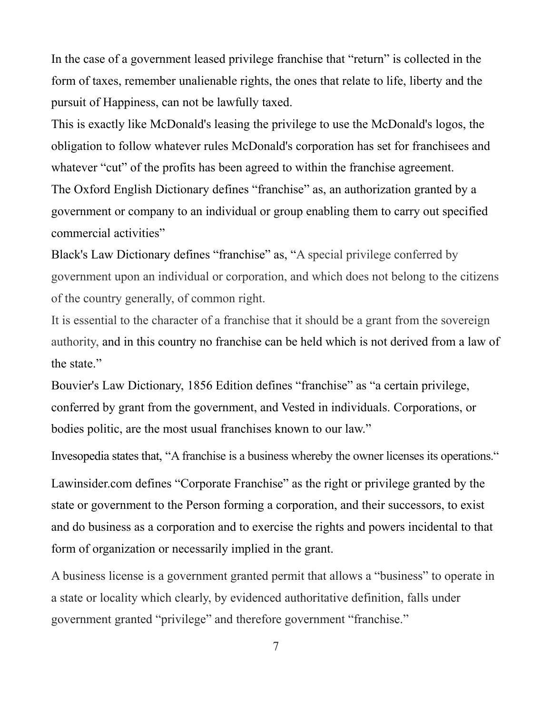In the case of a government leased privilege franchise that "return" is collected in the form of taxes, remember unalienable rights, the ones that relate to life, liberty and the pursuit of Happiness, can not be lawfully taxed.

This is exactly like McDonald's leasing the privilege to use the McDonald's logos, the obligation to follow whatever rules McDonald's corporation has set for franchisees and whatever "cut" of the profits has been agreed to within the franchise agreement. The Oxford English Dictionary defines "franchise" as, an authorization granted by a government or company to an individual or group enabling them to carry out specified commercial activities"

Black's Law Dictionary defines "franchise" as, "A special privilege conferred by government upon an individual or corporation, and which does not belong to the citizens of the country generally, of common right.

It is essential to the character of a franchise that it should be a grant from the sovereign authority, and in this country no franchise can be held which is not derived from a law of the state."

Bouvier's Law Dictionary, 1856 Edition defines "franchise" as "a certain privilege, conferred by grant from the government, and Vested in individuals. Corporations, or bodies politic, are the most usual franchises known to our law."

Lawinsider.com defines "Corporate Franchise" as the right or privilege granted by the state or government to the Person forming a corporation, and their successors, to exist and do business as a corporation and to exercise the rights and powers incidental to that form of organization or necessarily implied in the grant.

Invesopedia states that, "A franchise is a business whereby the owner licenses its operations."

A business license is a government granted permit that allows a "business" to operate in a state or locality which clearly, by evidenced authoritative definition, falls under government granted "privilege" and therefore government "franchise."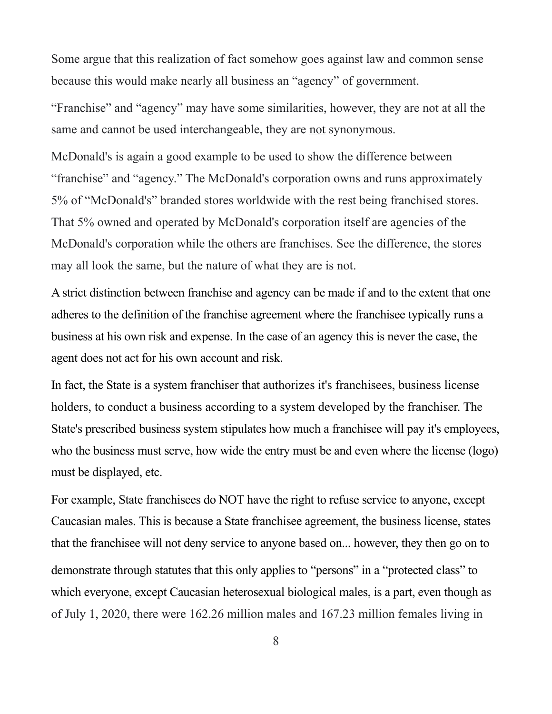Some argue that this realization of fact somehow goes against law and common sense because this would make nearly all business an "agency" of government.

"Franchise" and "agency" may have some similarities, however, they are not at all the same and cannot be used interchangeable, they are not synonymous.

McDonald's is again a good example to be used to show the difference between "franchise" and "agency." The McDonald's corporation owns and runs approximately 5% of "McDonald's" branded stores worldwide with the rest being franchised stores. That 5% owned and operated by McDonald's corporation itself are agencies of the McDonald's corporation while the others are franchises. See the difference, the stores may all look the same, but the nature of what they are is not.

A strict distinction between franchise and agency can be made if and to the extent that one adheres to the definition of the franchise agreement where the franchisee typically runs a business at his own risk and expense. In the case of an agency this is never the case, the agent does not act for his own account and risk.

In fact, the State is a system franchiser that authorizes it's franchisees, business license holders, to conduct a business according to a system developed by the franchiser. The State's prescribed business system stipulates how much a franchisee will pay it's employees, who the business must serve, how wide the entry must be and even where the license (logo) must be displayed, etc.

For example, State franchisees do NOT have the right to refuse service to anyone, except Caucasian males. This is because a State franchisee agreement, the business license, states that the franchisee will not deny service to anyone based on... however, they then go on to demonstrate through statutes that this only applies to "persons" in a "protected class" to which everyone, except Caucasian heterosexual biological males, is a part, even though as of July 1, 2020, there were 162.26 million males and 167.23 million females living in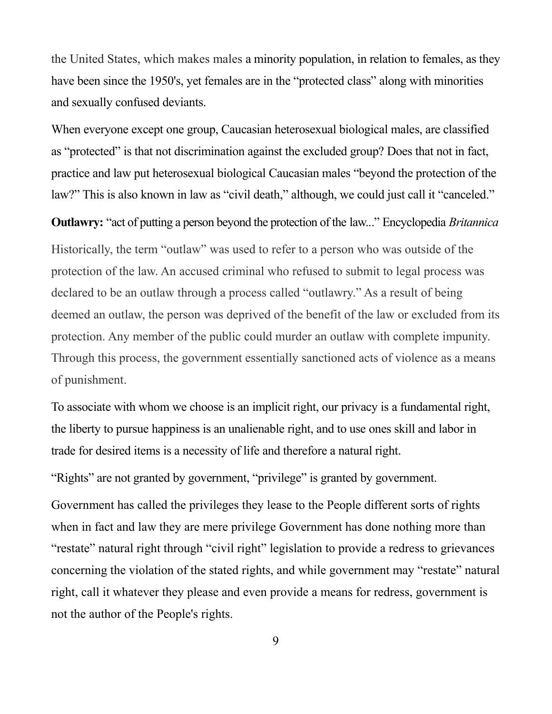the United States, which makes males a minority population, in relation to females, as they have been since the 1950's, yet females are in the "protected class" along with minorities and sexually confused deviants.

When everyone except one group, Caucasian heterosexual biological males, are classified as "protected" is that not discrimination against the excluded group? Does that not in fact, practice and law put heterosexual biological Caucasian males "beyond the protection of the law?" This is also known in law as "civil death," although, we could just call it "canceled."

**Outlawry:** "act of putting a person beyond the protection of the law..." Encyclopedia *Britannica* Historically, the term "outlaw" was used to refer to a person who was outside of the protection of the law. An accused criminal who refused to submit to legal process was declared to be an outlaw through a process called "outlawry." As a result of being deemed an outlaw, the person was deprived of the benefit of the law or excluded from its protection. Any member of the public could murder an outlaw with complete impunity. Through this process, the government essentially sanctioned acts of violence as a means of punishment.

To associate with whom we choose is an implicit right, our privacy is a fundamental right, the liberty to pursue happiness is an unalienable right, and to use ones skill and labor in trade for desired items is a necessity of life and therefore a natural right.

"Rights" are not granted by government, "privilege" is granted by government.

Government has called the privileges they lease to the People different sorts of rights when in fact and law they are mere privilege Government has done nothing more than "restate" natural right through "civil right" legislation to provide a redress to grievances concerning the violation of the stated rights, and while government may "restate" natural right, call it whatever they please and even provide a means for redress, government is not the author of the People's rights.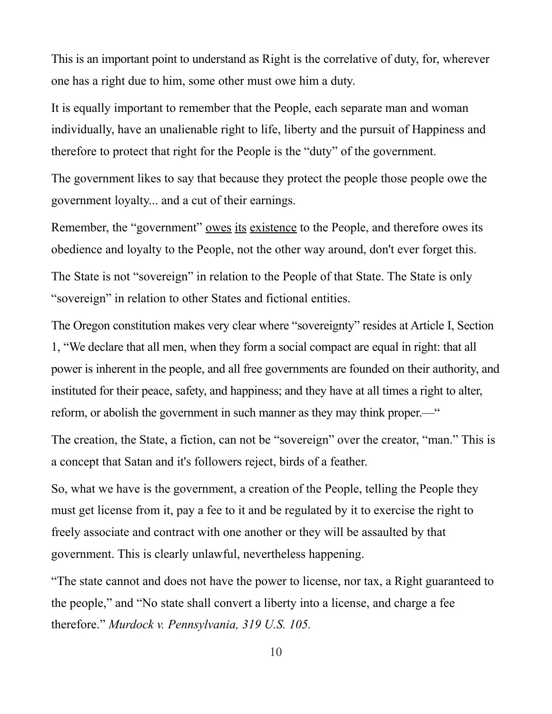This is an important point to understand as Right is the correlative of duty, for, wherever one has a right due to him, some other must owe him a duty.

It is equally important to remember that the People, each separate man and woman individually, have an unalienable right to life, liberty and the pursuit of Happiness and therefore to protect that right for the People is the "duty" of the government.

The government likes to say that because they protect the people those people owe the government loyalty... and a cut of their earnings.

Remember, the "government" owes its existence to the People, and therefore owes its obedience and loyalty to the People, not the other way around, don't ever forget this. The State is not "sovereign" in relation to the People of that State. The State is only "sovereign" in relation to other States and fictional entities.

The Oregon constitution makes very clear where "sovereignty" resides at Article I, Section 1, "We declare that all men, when they form a social compact are equal in right: that all power is inherent in the people, and all free governments are founded on their authority, and instituted for their peace, safety, and happiness; and they have at all times a right to alter, reform, or abolish the government in such manner as they may think proper.—"

The creation, the State, a fiction, can not be "sovereign" over the creator, "man." This is a concept that Satan and it's followers reject, birds of a feather.

So, what we have is the government, a creation of the People, telling the People they must get license from it, pay a fee to it and be regulated by it to exercise the right to freely associate and contract with one another or they will be assaulted by that government. This is clearly unlawful, nevertheless happening.

"The state cannot and does not have the power to license, nor tax, a Right guaranteed to the people," and "No state shall convert a liberty into a license, and charge a fee therefore." *Murdock v. Pennsylvania, 319 U.S. 105.*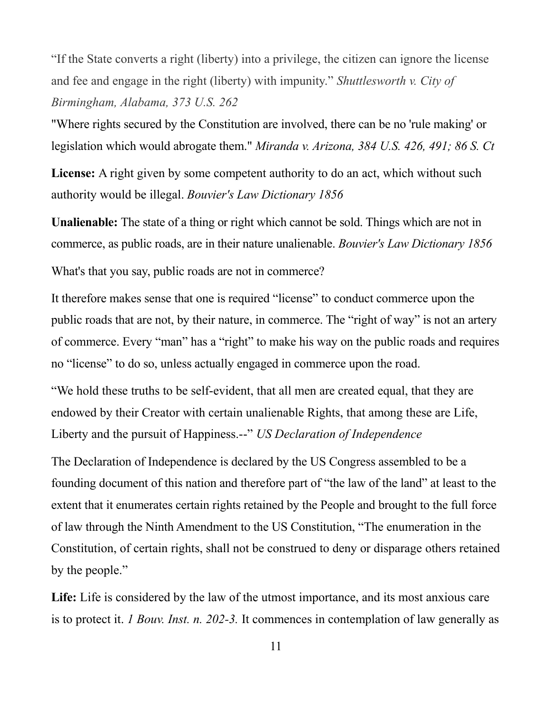"If the State converts a right (liberty) into a privilege, the citizen can ignore the license and fee and engage in the right (liberty) with impunity." *Shuttlesworth v. City of Birmingham, Alabama, 373 U.S. 262*

"Where rights secured by the Constitution are involved, there can be no 'rule making' or legislation which would abrogate them." *Miranda v. Arizona, 384 U.S. 426, 491; 86 S. Ct*

**License:** A right given by some competent authority to do an act, which without such authority would be illegal. *Bouvier's Law Dictionary 1856*

**Unalienable:** The state of a thing or right which cannot be sold. Things which are not in commerce, as public roads, are in their nature unalienable. *Bouvier's Law Dictionary 1856*

What's that you say, public roads are not in commerce?

It therefore makes sense that one is required "license" to conduct commerce upon the public roads that are not, by their nature, in commerce. The "right of way" is not an artery of commerce. Every "man" has a "right" to make his way on the public roads and requires no "license" to do so, unless actually engaged in commerce upon the road.

"We hold these truths to be self-evident, that all men are created equal, that they are endowed by their Creator with certain unalienable Rights, that among these are Life, Liberty and the pursuit of Happiness.--" *US Declaration of Independence*

The Declaration of Independence is declared by the US Congress assembled to be a founding document of this nation and therefore part of "the law of the land" at least to the extent that it enumerates certain rights retained by the People and brought to the full force of law through the Ninth Amendment to the US Constitution, "The enumeration in the Constitution, of certain rights, shall not be construed to deny or disparage others retained by the people."

**Life:** Life is considered by the law of the utmost importance, and its most anxious care is to protect it. *1 Bouv. Inst. n. 202-3.* It commences in contemplation of law generally as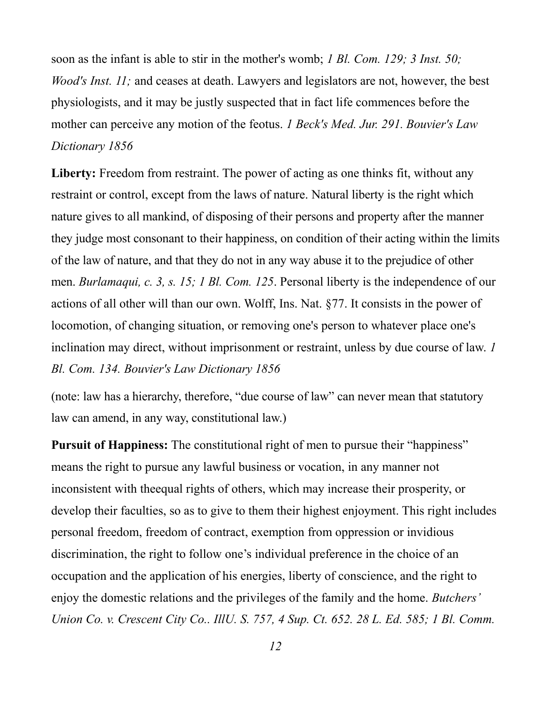soon as the infant is able to stir in the mother's womb; *1 Bl. Com. 129; 3 Inst. 50; Wood's Inst. 11;* and ceases at death. Lawyers and legislators are not, however, the best physiologists, and it may be justly suspected that in fact life commences before the mother can perceive any motion of the feotus. *1 Beck's Med. Jur. 291. Bouvier's Law Dictionary 1856*

Liberty: Freedom from restraint. The power of acting as one thinks fit, without any restraint or control, except from the laws of nature. Natural liberty is the right which nature gives to all mankind, of disposing of their persons and property after the manner they judge most consonant to their happiness, on condition of their acting within the limits of the law of nature, and that they do not in any way abuse it to the prejudice of other men. *Burlamaqui, c. 3, s. 15; 1 Bl. Com. 125*. Personal liberty is the independence of our actions of all other will than our own. Wolff, Ins. Nat. §77. It consists in the power of locomotion, of changing situation, or removing one's person to whatever place one's inclination may direct, without imprisonment or restraint, unless by due course of law. *1 Bl. Com. 134. Bouvier's Law Dictionary 1856*

(note: law has a hierarchy, therefore, "due course of law" can never mean that statutory law can amend, in any way, constitutional law.)

**Pursuit of Happiness:** The constitutional right of men to pursue their "happiness" means the right to pursue any lawful business or vocation, in any manner not inconsistent with theequal rights of others, which may increase their prosperity, or develop their faculties, so as to give to them their highest enjoyment. This right includes personal freedom, freedom of contract, exemption from oppression or invidious discrimination, the right to follow one's individual preference in the choice of an occupation and the application of his energies, liberty of conscience, and the right to enjoy the domestic relations and the privileges of the family and the home. *Butchers' Union Co. v. Crescent City Co.. IllU. S. 757, 4 Sup. Ct. 652. 28 L. Ed. 585; 1 Bl. Comm.*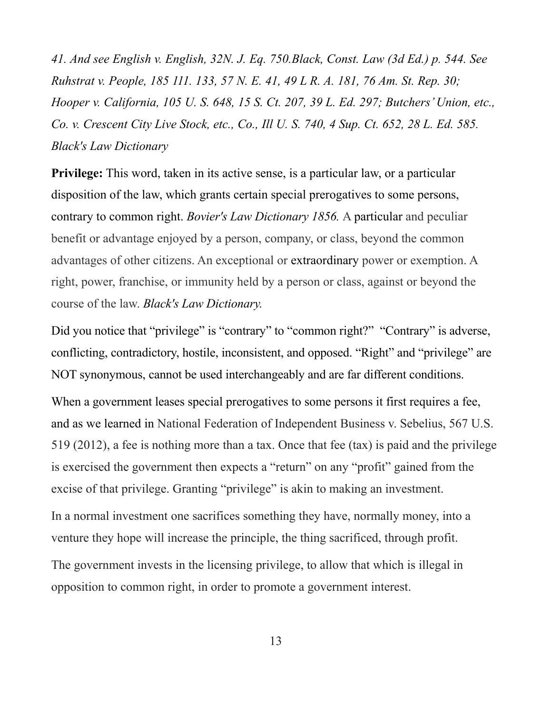*41. And see English v. English, 32N. J. Eq. 750.Black, Const. Law (3d Ed.) p. 544. See Ruhstrat v. People, 185 111. 133, 57 N. E. 41, 49 L R. A. 181, 76 Am. St. Rep. 30; Hooper v. California, 105 U. S. 648, 15 S. Ct. 207, 39 L. Ed. 297; Butchers' Union, etc., Co. v. Crescent City Live Stock, etc., Co., Ill U. S. 740, 4 Sup. Ct. 652, 28 L. Ed. 585. Black's Law Dictionary*

**Privilege:** This word, taken in its active sense, is a particular law, or a particular disposition of the law, which grants certain special prerogatives to some persons, contrary to common right. *Bovier's Law Dictionary 1856.* A particular and peculiar benefit or advantage enjoyed by a person, company, or class, beyond the common advantages of other citizens. An exceptional or extraordinary power or exemption. A right, power, franchise, or immunity held by a person or class, against or beyond the course of the law. *Black's Law Dictionary.*

Did you notice that "privilege" is "contrary" to "common right?" "Contrary" is adverse, conflicting, contradictory, hostile, inconsistent, and opposed. "Right" and "privilege" are NOT synonymous, cannot be used interchangeably and are far different conditions.

When a government leases special prerogatives to some persons it first requires a fee, and as we learned in National Federation of Independent Business v. Sebelius, 567 U.S. 519 (2012), a fee is nothing more than a tax. Once that fee (tax) is paid and the privilege is exercised the government then expects a "return" on any "profit" gained from the excise of that privilege. Granting "privilege" is akin to making an investment.

In a normal investment one sacrifices something they have, normally money, into a venture they hope will increase the principle, the thing sacrificed, through profit.

The government invests in the licensing privilege, to allow that which is illegal in opposition to common right, in order to promote a government interest.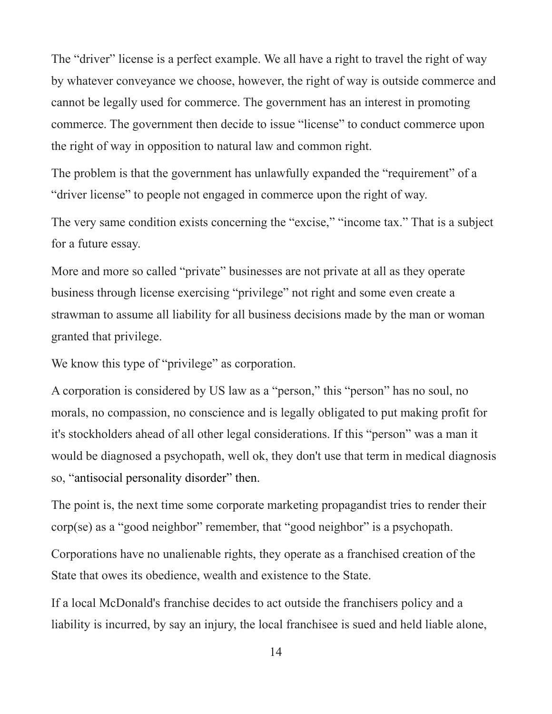The "driver" license is a perfect example. We all have a right to travel the right of way by whatever conveyance we choose, however, the right of way is outside commerce and cannot be legally used for commerce. The government has an interest in promoting commerce. The government then decide to issue "license" to conduct commerce upon the right of way in opposition to natural law and common right.

The problem is that the government has unlawfully expanded the "requirement" of a "driver license" to people not engaged in commerce upon the right of way.

The very same condition exists concerning the "excise," "income tax." That is a subject for a future essay.

More and more so called "private" businesses are not private at all as they operate business through license exercising "privilege" not right and some even create a strawman to assume all liability for all business decisions made by the man or woman granted that privilege.

We know this type of "privilege" as corporation.

A corporation is considered by US law as a "person," this "person" has no soul, no morals, no compassion, no conscience and is legally obligated to put making profit for it's stockholders ahead of all other legal considerations. If this "person" was a man it would be diagnosed a psychopath, well ok, they don't use that term in medical diagnosis so, "antisocial personality disorder" then.

The point is, the next time some corporate marketing propagandist tries to render their corp(se) as a "good neighbor" remember, that "good neighbor" is a psychopath.

Corporations have no unalienable rights, they operate as a franchised creation of the State that owes its obedience, wealth and existence to the State.

If a local McDonald's franchise decides to act outside the franchisers policy and a liability is incurred, by say an injury, the local franchisee is sued and held liable alone,